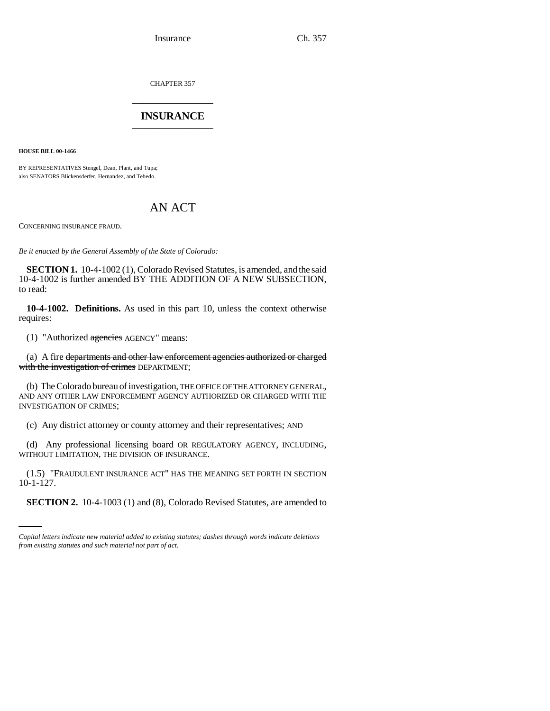Insurance Ch. 357

CHAPTER 357 \_\_\_\_\_\_\_\_\_\_\_\_\_\_\_

## **INSURANCE** \_\_\_\_\_\_\_\_\_\_\_\_\_\_\_

**HOUSE BILL 00-1466**

BY REPRESENTATIVES Stengel, Dean, Plant, and Tupa; also SENATORS Blickensderfer, Hernandez, and Tebedo.

## AN ACT

CONCERNING INSURANCE FRAUD.

*Be it enacted by the General Assembly of the State of Colorado:*

**SECTION 1.** 10-4-1002 (1), Colorado Revised Statutes, is amended, and the said 10-4-1002 is further amended BY THE ADDITION OF A NEW SUBSECTION, to read:

**10-4-1002. Definitions.** As used in this part 10, unless the context otherwise requires:

(1) "Authorized agencies AGENCY" means:

(a) A fire departments and other law enforcement agencies authorized or charged with the investigation of crimes DEPARTMENT;

(b) The Colorado bureau of investigation, THE OFFICE OF THE ATTORNEY GENERAL, AND ANY OTHER LAW ENFORCEMENT AGENCY AUTHORIZED OR CHARGED WITH THE INVESTIGATION OF CRIMES;

(c) Any district attorney or county attorney and their representatives; AND

(d) Any professional licensing board OR REGULATORY AGENCY, INCLUDING, WITHOUT LIMITATION, THE DIVISION OF INSURANCE.

 $10-1-127$ . (1.5) "FRAUDULENT INSURANCE ACT" HAS THE MEANING SET FORTH IN SECTION

**SECTION 2.** 10-4-1003 (1) and (8), Colorado Revised Statutes, are amended to

*Capital letters indicate new material added to existing statutes; dashes through words indicate deletions from existing statutes and such material not part of act.*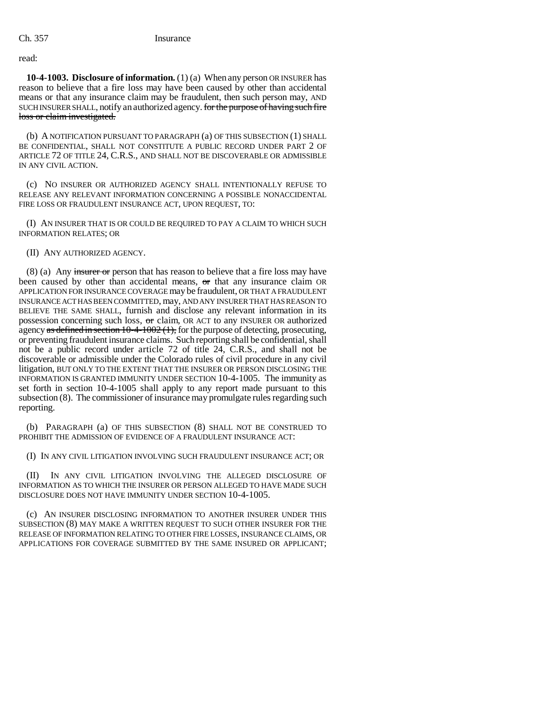## read:

**10-4-1003. Disclosure of information.** (1) (a) When any person OR INSURER has reason to believe that a fire loss may have been caused by other than accidental means or that any insurance claim may be fraudulent, then such person may, AND SUCH INSURER SHALL, notify an authorized agency. for the purpose of having such fire loss or claim investigated.

(b) A NOTIFICATION PURSUANT TO PARAGRAPH (a) OF THIS SUBSECTION (1) SHALL BE CONFIDENTIAL, SHALL NOT CONSTITUTE A PUBLIC RECORD UNDER PART 2 OF ARTICLE 72 OF TITLE 24, C.R.S., AND SHALL NOT BE DISCOVERABLE OR ADMISSIBLE IN ANY CIVIL ACTION.

(c) NO INSURER OR AUTHORIZED AGENCY SHALL INTENTIONALLY REFUSE TO RELEASE ANY RELEVANT INFORMATION CONCERNING A POSSIBLE NONACCIDENTAL FIRE LOSS OR FRAUDULENT INSURANCE ACT, UPON REQUEST, TO:

(I) AN INSURER THAT IS OR COULD BE REQUIRED TO PAY A CLAIM TO WHICH SUCH INFORMATION RELATES; OR

(II) ANY AUTHORIZED AGENCY.

 $(8)$  (a) Any insurer or person that has reason to believe that a fire loss may have been caused by other than accidental means, or that any insurance claim OR APPLICATION FOR INSURANCE COVERAGE may be fraudulent, OR THAT A FRAUDULENT INSURANCE ACT HAS BEEN COMMITTED, may, AND ANY INSURER THAT HAS REASON TO BELIEVE THE SAME SHALL, furnish and disclose any relevant information in its possession concerning such loss, or claim, OR ACT to any INSURER OR authorized agency as defined in section 10-4-1002 (1), for the purpose of detecting, prosecuting, or preventing fraudulent insurance claims. Such reporting shall be confidential, shall not be a public record under article 72 of title 24, C.R.S., and shall not be discoverable or admissible under the Colorado rules of civil procedure in any civil litigation, BUT ONLY TO THE EXTENT THAT THE INSURER OR PERSON DISCLOSING THE INFORMATION IS GRANTED IMMUNITY UNDER SECTION 10-4-1005. The immunity as set forth in section 10-4-1005 shall apply to any report made pursuant to this subsection (8). The commissioner of insurance may promulgate rules regarding such reporting.

(b) PARAGRAPH (a) OF THIS SUBSECTION (8) SHALL NOT BE CONSTRUED TO PROHIBIT THE ADMISSION OF EVIDENCE OF A FRAUDULENT INSURANCE ACT:

(I) IN ANY CIVIL LITIGATION INVOLVING SUCH FRAUDULENT INSURANCE ACT; OR

(II) IN ANY CIVIL LITIGATION INVOLVING THE ALLEGED DISCLOSURE OF INFORMATION AS TO WHICH THE INSURER OR PERSON ALLEGED TO HAVE MADE SUCH DISCLOSURE DOES NOT HAVE IMMUNITY UNDER SECTION 10-4-1005.

(c) AN INSURER DISCLOSING INFORMATION TO ANOTHER INSURER UNDER THIS SUBSECTION (8) MAY MAKE A WRITTEN REQUEST TO SUCH OTHER INSURER FOR THE RELEASE OF INFORMATION RELATING TO OTHER FIRE LOSSES, INSURANCE CLAIMS, OR APPLICATIONS FOR COVERAGE SUBMITTED BY THE SAME INSURED OR APPLICANT;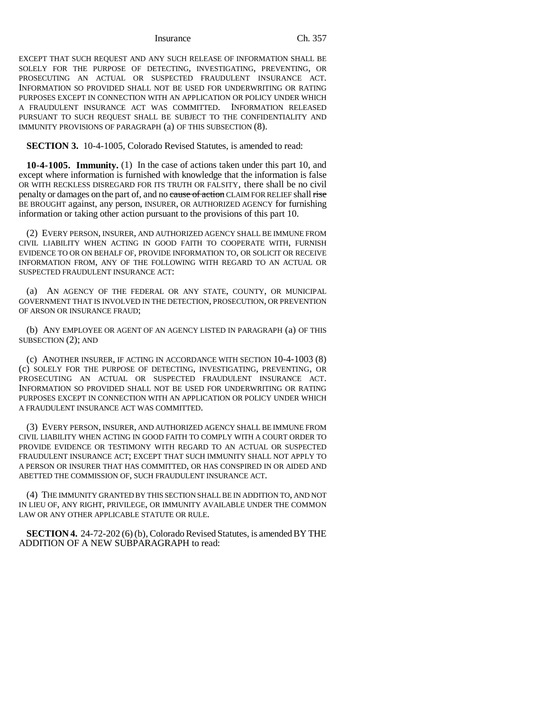Insurance Ch. 357

EXCEPT THAT SUCH REQUEST AND ANY SUCH RELEASE OF INFORMATION SHALL BE SOLELY FOR THE PURPOSE OF DETECTING, INVESTIGATING, PREVENTING, OR PROSECUTING AN ACTUAL OR SUSPECTED FRAUDULENT INSURANCE ACT. INFORMATION SO PROVIDED SHALL NOT BE USED FOR UNDERWRITING OR RATING PURPOSES EXCEPT IN CONNECTION WITH AN APPLICATION OR POLICY UNDER WHICH A FRAUDULENT INSURANCE ACT WAS COMMITTED. INFORMATION RELEASED PURSUANT TO SUCH REQUEST SHALL BE SUBJECT TO THE CONFIDENTIALITY AND IMMUNITY PROVISIONS OF PARAGRAPH (a) OF THIS SUBSECTION (8).

**SECTION 3.** 10-4-1005, Colorado Revised Statutes, is amended to read:

**10-4-1005. Immunity.** (1) In the case of actions taken under this part 10, and except where information is furnished with knowledge that the information is false OR WITH RECKLESS DISREGARD FOR ITS TRUTH OR FALSITY, there shall be no civil penalty or damages on the part of, and no eause of action CLAIM FOR RELIEF shall rise BE BROUGHT against, any person, INSURER, OR AUTHORIZED AGENCY for furnishing information or taking other action pursuant to the provisions of this part 10.

(2) EVERY PERSON, INSURER, AND AUTHORIZED AGENCY SHALL BE IMMUNE FROM CIVIL LIABILITY WHEN ACTING IN GOOD FAITH TO COOPERATE WITH, FURNISH EVIDENCE TO OR ON BEHALF OF, PROVIDE INFORMATION TO, OR SOLICIT OR RECEIVE INFORMATION FROM, ANY OF THE FOLLOWING WITH REGARD TO AN ACTUAL OR SUSPECTED FRAUDULENT INSURANCE ACT:

(a) AN AGENCY OF THE FEDERAL OR ANY STATE, COUNTY, OR MUNICIPAL GOVERNMENT THAT IS INVOLVED IN THE DETECTION, PROSECUTION, OR PREVENTION OF ARSON OR INSURANCE FRAUD;

(b) ANY EMPLOYEE OR AGENT OF AN AGENCY LISTED IN PARAGRAPH (a) OF THIS SUBSECTION (2); AND

(c) ANOTHER INSURER, IF ACTING IN ACCORDANCE WITH SECTION 10-4-1003 (8) (c) SOLELY FOR THE PURPOSE OF DETECTING, INVESTIGATING, PREVENTING, OR PROSECUTING AN ACTUAL OR SUSPECTED FRAUDULENT INSURANCE ACT. INFORMATION SO PROVIDED SHALL NOT BE USED FOR UNDERWRITING OR RATING PURPOSES EXCEPT IN CONNECTION WITH AN APPLICATION OR POLICY UNDER WHICH A FRAUDULENT INSURANCE ACT WAS COMMITTED.

(3) EVERY PERSON, INSURER, AND AUTHORIZED AGENCY SHALL BE IMMUNE FROM CIVIL LIABILITY WHEN ACTING IN GOOD FAITH TO COMPLY WITH A COURT ORDER TO PROVIDE EVIDENCE OR TESTIMONY WITH REGARD TO AN ACTUAL OR SUSPECTED FRAUDULENT INSURANCE ACT; EXCEPT THAT SUCH IMMUNITY SHALL NOT APPLY TO A PERSON OR INSURER THAT HAS COMMITTED, OR HAS CONSPIRED IN OR AIDED AND ABETTED THE COMMISSION OF, SUCH FRAUDULENT INSURANCE ACT.

(4) THE IMMUNITY GRANTED BY THIS SECTION SHALL BE IN ADDITION TO, AND NOT IN LIEU OF, ANY RIGHT, PRIVILEGE, OR IMMUNITY AVAILABLE UNDER THE COMMON LAW OR ANY OTHER APPLICABLE STATUTE OR RULE.

**SECTION 4.** 24-72-202 (6) (b), Colorado Revised Statutes, is amended BY THE ADDITION OF A NEW SUBPARAGRAPH to read: